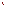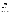## **THE ENVIRONMENTAL TECHNOLOGY VERIFICATION PROGRAM Battelle** The Business of Innovation **U.S. Environmental Protection Agency Illinois Clean Coal InstituteETV Joint Verification Statement TECHNOLOGY TYPE: Mercury Emissions Monitor**

| <b>APPLICATION:</b>               | <b>Sorbent Trap Monitoring of Flue Gas Mercury</b>  |                                                   |  |
|-----------------------------------|-----------------------------------------------------|---------------------------------------------------|--|
| <b>TECHNOLOGY</b><br><b>NAME:</b> | <b>Sorbent-Based Mercury Sampling System</b>        |                                                   |  |
| <b>COMPANY:</b>                   | Apex Instruments, Inc.                              |                                                   |  |
| <b>ADDRESS:</b>                   | 204 Technology Park Lane<br>Fuquay-Varina, NC 27526 | PHONE: (919) 557-7300<br>$(919)$ 557-7110<br>FAX: |  |
| <b>WEB SITE:</b><br>E-MAIL:       | www.apexinst.com/<br>info@apexinst.com              |                                                   |  |

The U.S. Environmental Protection Agency (EPA) has established the Environmental Technology Verification (ETV) Program to facilitate the deployment of innovative or improved environmental technologies through performance verification and dissemination of information. The goal of the ETV Program is to further environmental protection by accelerating the acceptance and use of improved and cost-effective technologies. ETV seeks to achieve this goal by providing high-quality, peer-reviewed data on technology performance to those involved in the design, distribution, financing, permitting, purchase, and use of environmental technologies. Information and ETV documents are available at www.epa.gov/etv. performance verification and dissemination of information. The goal of the ETV Program is to further<br>environmental protection by accelerating the acceptance and use of improved and cost-effective technole<br>ETV seeks to achi

(consisting of buyers, vendor organizations, and permitters), and with individual technology developers. The program evaluates the performance of innovative technologies by developing test plans that are responsive to the needs of stakeholders, conducting field or laboratory tests (as appropriate), collecting and analyzing data, and preparing peer-reviewed reports. All evaluations are conducted in accordance with rigorous quality assurance (QA) protocols to ensure that data of known and adequate quality are generated and that the results are defensible. (consisting of buyers, vendor organizations, and permitters), and with individual technology developers. The program evaluates the performance of innovative technologies by developing test plans that are responsive the nee

Battelle in cooperation with EPA's National Exposure Research Laboratory. In collaboration with the Illinois Clean Coal Institute, and with assistance from the Northern Indiana Public Service Company, the AMS Center evaluated the performance of the Apex Instruments Sorbent-Based Mercury Sampling System for determining mercury in stack gas at a coal-fired power plant. This verification statement provides a summary of the test results.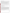## **VERIFICATION TEST DESCRIPTION**

The performance of the Apex system was evaluated in terms of relative accuracy (RA), data completeness, and operational factors (ease of use, maintenance and data output needs, power and other consumables use, reliability, and operational costs). RA was determined according to Equation A-10 of Chapter 40 of the Code of Federal Regulations Part 75 (40 CFR Part 75) Appendix A, by comparing the Apex vapor-phase total mercury ( $Hg_T$ ) results to simultaneous results from American Society for Testing and Materials (ASTM) D 6784-02, the "Ontario Hydro" (OH) method. Data completeness was assessed as the percentage of maximum data return achieved by the Apex system over its test period. Operational factors were evaluated by means of observations during use and records of needed maintenance, vendor activities, and expendables use.

The Apex system was verified at Unit 17 of the R.M. Schahfer Generating Station, located near Wheatfield, Indiana, between July 9 and 13, 2006. Unit 17 burns pulverized Illinois sub-bituminous coal and has an electrostatic precipitator and a wet flue gas desulfurization unit. During this period, twelve successive OH method runs, each of 2 hours duration, were conducted on the Unit 17 stack using paired OH trains. Those reference samples were collected and analyzed to determine elemental mercury and oxidized mercury, the sum of which is  $Hg_T$ .

QA oversight of verification testing was provided by Battelle and EPA. Battelle QA staff conducted a technical systems audit, a performance evaluation audit, and a data quality audit of 10% of the test data.

This verification statement, the full report on which it is based, and the test/QA plan for this verification test are all available at www.epa.gov/etv/centers/center1.html.

## **TECHNOLOGY DESCRIPTION**

The following description of the Apex system is based on information provided by the vendor. The information provided below was not verified in this test.

The Apex system tested in this program was designed to sample mercury emissions from coal-fired sources as specified in Appendix K in 40 CFR Part 75. The system consisted of two Apex Instruments Model XC-60 Gas Sampling Consoles, an SGC 4000 Hg Stirling Gas Conditioner, and a 9-foot-long dual trap mercury sampling probe with a 25-foot-long heated sample line. Each XC-60 console incorporated a dry gas meter, rotameter flow meter, manual sample flow control valves, temperature indicators, vacuum gauge, and sampling pump. These consoles performed simultaneous sampling with two sorbent traps through the single probe, maintaining a constant sampling flow of about 500 cubic centimeters per minute through each trap. Pre- and post-run leak checks were conducted in each run. Sample gas drawn through the sorbent traps in the probe tip was transported through the heated sample line to the SGC 4000 Hg Stirling Gas Conditioner, where moisture was removed by condensation before the gas entered each XC-60 console. The Apex system operator recorded sampling data manually every 15 minutes during each run, including stack, probe, console, and Stirling chiller temperatures; sample flow rates; vacuum and pressure readings; and barometric pressure.

The sorbent traps used with the Apex system were prepared and analyzed for Hg<sub>T</sub> by Ohio Lumex. Consistent with Appendix K, each trap incorporated three sorbent sections: a sampling section, a breakthrough section, and a pre-spiked section to assess mercury spike recovery.